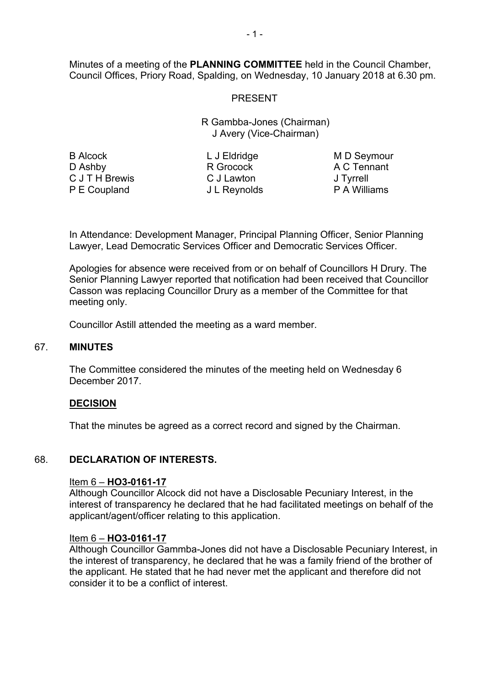Minutes of a meeting of the **PLANNING COMMITTEE** held in the Council Chamber, Council Offices, Priory Road, Spalding, on Wednesday, 10 January 2018 at 6.30 pm.

# PRESENT

R Gambba-Jones (Chairman) J Avery (Vice-Chairman)

B Alcock D Ashby C J T H Brewis P E Coupland

L J Eldridge R Grocock C J Lawton J L Reynolds

M D Seymour A C Tennant J Tyrrell P A Williams

In Attendance: Development Manager, Principal Planning Officer, Senior Planning Lawyer, Lead Democratic Services Officer and Democratic Services Officer.

Apologies for absence were received from or on behalf of Councillors H Drury. The Senior Planning Lawyer reported that notification had been received that Councillor Casson was replacing Councillor Drury as a member of the Committee for that meeting only.

Councillor Astill attended the meeting as a ward member.

### 67. **MINUTES**

The Committee considered the minutes of the meeting held on Wednesday 6 December 2017.

### **DECISION**

That the minutes be agreed as a correct record and signed by the Chairman.

### 68. **DECLARATION OF INTERESTS.**

### Item 6 – **HO3-0161-17**

Although Councillor Alcock did not have a Disclosable Pecuniary Interest, in the interest of transparency he declared that he had facilitated meetings on behalf of the applicant/agent/officer relating to this application.

### Item 6 – **HO3-0161-17**

Although Councillor Gammba-Jones did not have a Disclosable Pecuniary Interest, in the interest of transparency, he declared that he was a family friend of the brother of the applicant. He stated that he had never met the applicant and therefore did not consider it to be a conflict of interest.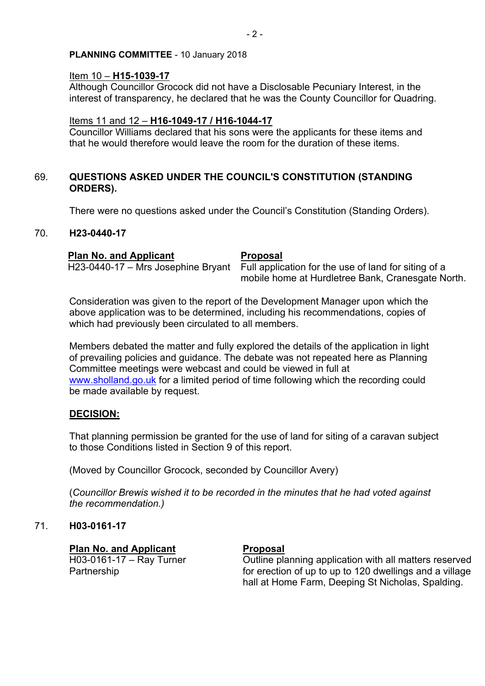# Item 10 – **H15-1039-17**

Although Councillor Grocock did not have a Disclosable Pecuniary Interest, in the interest of transparency, he declared that he was the County Councillor for Quadring.

# Items 11 and 12 – **H16-1049-17 / H16-1044-17**

Councillor Williams declared that his sons were the applicants for these items and that he would therefore would leave the room for the duration of these items.

# 69. **QUESTIONS ASKED UNDER THE COUNCIL'S CONSTITUTION (STANDING ORDERS).**

There were no questions asked under the Council's Constitution (Standing Orders).

# 70. **H23-0440-17**

# **Plan No. and Applicant Proposal**

H23-0440-17 – Mrs Josephine Bryant Full application for the use of land for siting of a mobile home at Hurdletree Bank, Cranesgate North.

Consideration was given to the report of the Development Manager upon which the above application was to be determined, including his recommendations, copies of which had previously been circulated to all members.

Members debated the matter and fully explored the details of the application in light of prevailing policies and guidance. The debate was not repeated here as Planning Committee meetings were webcast and could be viewed in full at [www.sholland.go.uk](http://www.sholland.go.uk/) for a limited period of time following which the recording could be made available by request.

# **DECISION:**

That planning permission be granted for the use of land for siting of a caravan subject to those Conditions listed in Section 9 of this report.

(Moved by Councillor Grocock, seconded by Councillor Avery)

(*Councillor Brewis wished it to be recorded in the minutes that he had voted against the recommendation.)*

# 71. **H03-0161-17**

# **Plan No. and Applicant Proposal**

H03-0161-17 – Ray Turner Partnership

Outline planning application with all matters reserved for erection of up to up to 120 dwellings and a village hall at Home Farm, Deeping St Nicholas, Spalding.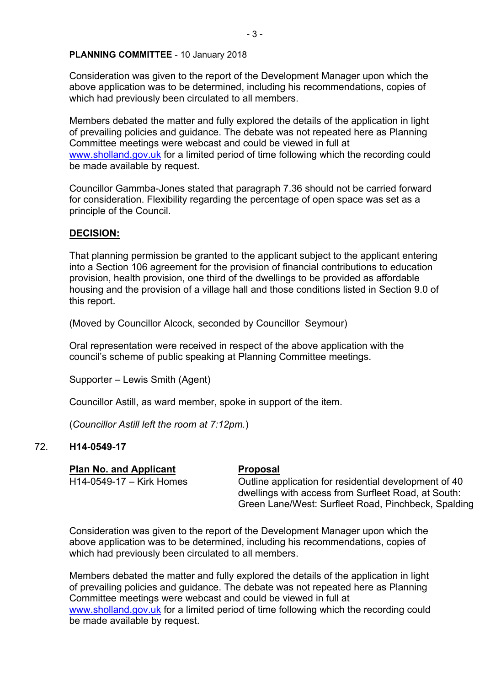Consideration was given to the report of the Development Manager upon which the above application was to be determined, including his recommendations, copies of which had previously been circulated to all members.

Members debated the matter and fully explored the details of the application in light of prevailing policies and guidance. The debate was not repeated here as Planning Committee meetings were webcast and could be viewed in full at [www.sholland.gov.uk](http://www.sholland.gov.uk/) for a limited period of time following which the recording could be made available by request.

Councillor Gammba-Jones stated that paragraph 7.36 should not be carried forward for consideration. Flexibility regarding the percentage of open space was set as a principle of the Council.

# **DECISION:**

That planning permission be granted to the applicant subject to the applicant entering into a Section 106 agreement for the provision of financial contributions to education provision, health provision, one third of the dwellings to be provided as affordable housing and the provision of a village hall and those conditions listed in Section 9.0 of this report.

(Moved by Councillor Alcock, seconded by Councillor Seymour)

Oral representation were received in respect of the above application with the council's scheme of public speaking at Planning Committee meetings.

Supporter – Lewis Smith (Agent)

Councillor Astill, as ward member, spoke in support of the item.

(*Councillor Astill left the room at 7:12pm.*)

# 72. **H14-0549-17**

**Plan No. and Applicant Proposal**

H14-0549-17 – Kirk Homes Outline application for residential development of 40 dwellings with access from Surfleet Road, at South: Green Lane/West: Surfleet Road, Pinchbeck, Spalding

Consideration was given to the report of the Development Manager upon which the above application was to be determined, including his recommendations, copies of which had previously been circulated to all members.

Members debated the matter and fully explored the details of the application in light of prevailing policies and guidance. The debate was not repeated here as Planning Committee meetings were webcast and could be viewed in full at [www.sholland.gov.uk](http://www.sholland.gov.uk/) for a limited period of time following which the recording could be made available by request.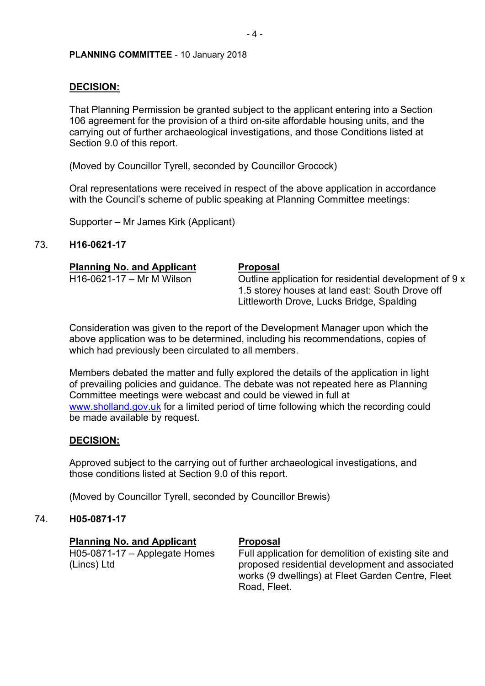# **DECISION:**

That Planning Permission be granted subject to the applicant entering into a Section 106 agreement for the provision of a third on-site affordable housing units, and the carrying out of further archaeological investigations, and those Conditions listed at Section 9.0 of this report.

(Moved by Councillor Tyrell, seconded by Councillor Grocock)

Oral representations were received in respect of the above application in accordance with the Council's scheme of public speaking at Planning Committee meetings:

**Proposal** 

Supporter – Mr James Kirk (Applicant)

# 73. **H16-0621-17**

|                | <b>Planning No. and Applicant</b> |
|----------------|-----------------------------------|
| $\blacksquare$ |                                   |

H16-0621-17 – Mr M Wilson  $\blacksquare$  Outline application for residential development of 9 x 1.5 storey houses at land east: South Drove off Littleworth Drove, Lucks Bridge, Spalding

Consideration was given to the report of the Development Manager upon which the above application was to be determined, including his recommendations, copies of which had previously been circulated to all members.

Members debated the matter and fully explored the details of the application in light of prevailing policies and guidance. The debate was not repeated here as Planning Committee meetings were webcast and could be viewed in full at [www.sholland.gov.uk](http://www.sholland.gov.uk/) for a limited period of time following which the recording could be made available by request.

# **DECISION:**

Approved subject to the carrying out of further archaeological investigations, and those conditions listed at Section 9.0 of this report.

(Moved by Councillor Tyrell, seconded by Councillor Brewis)

### 74. **H05-0871-17**

### **Planning No. and Applicant Proposal**

H05-0871-17 – Applegate Homes (Lincs) Ltd

Full application for demolition of existing site and proposed residential development and associated works (9 dwellings) at Fleet Garden Centre, Fleet Road, Fleet.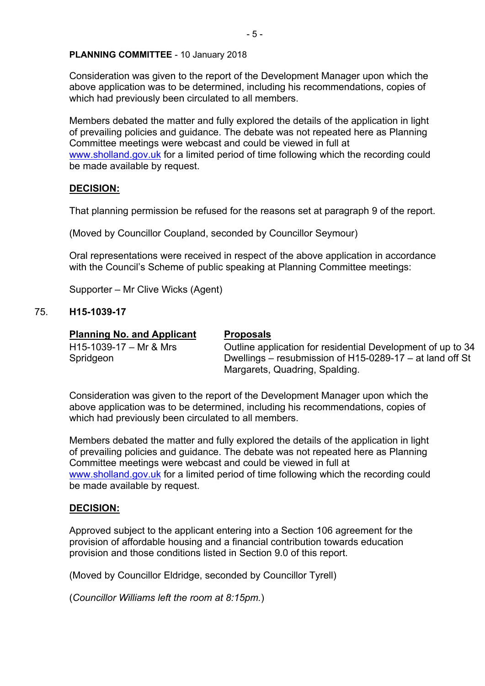Consideration was given to the report of the Development Manager upon which the above application was to be determined, including his recommendations, copies of which had previously been circulated to all members.

Members debated the matter and fully explored the details of the application in light of prevailing policies and guidance. The debate was not repeated here as Planning Committee meetings were webcast and could be viewed in full at [www.sholland.gov.uk](http://www.sholland.gov.uk/) for a limited period of time following which the recording could be made available by request.

# **DECISION:**

That planning permission be refused for the reasons set at paragraph 9 of the report.

(Moved by Councillor Coupland, seconded by Councillor Seymour)

Oral representations were received in respect of the above application in accordance with the Council's Scheme of public speaking at Planning Committee meetings:

Supporter – Mr Clive Wicks (Agent)

# 75. **H15-1039-17**

### **Planning No. and Applicant Proposals**

H15-1039-17 – Mr & Mrs Spridgeon

Outline application for residential Development of up to 34 Dwellings – resubmission of H15-0289-17 – at land off St Margarets, Quadring, Spalding.

Consideration was given to the report of the Development Manager upon which the above application was to be determined, including his recommendations, copies of which had previously been circulated to all members.

Members debated the matter and fully explored the details of the application in light of prevailing policies and guidance. The debate was not repeated here as Planning Committee meetings were webcast and could be viewed in full at [www.sholland.gov.uk](http://www.sholland.gov.uk/) for a limited period of time following which the recording could be made available by request.

# **DECISION:**

Approved subject to the applicant entering into a Section 106 agreement for the provision of affordable housing and a financial contribution towards education provision and those conditions listed in Section 9.0 of this report.

(Moved by Councillor Eldridge, seconded by Councillor Tyrell)

(*Councillor Williams left the room at 8:15pm.*)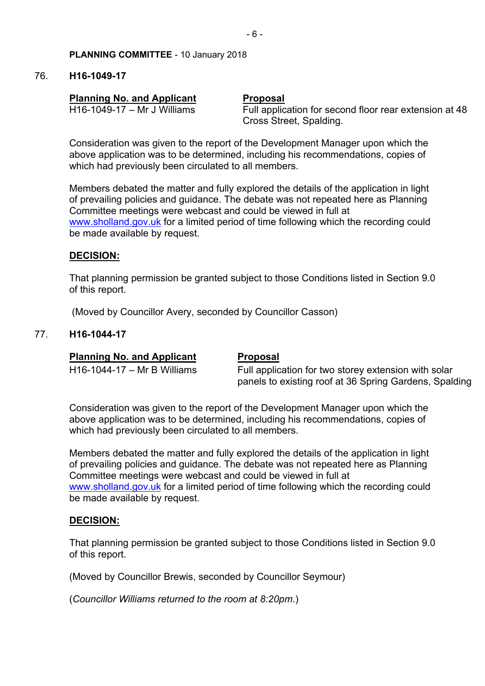# 76. **H16-1049-17**

# **Planning No. and Applicant Proposal**

H16-1049-17 – Mr J Williams Full application for second floor rear extension at 48 Cross Street, Spalding.

Consideration was given to the report of the Development Manager upon which the above application was to be determined, including his recommendations, copies of which had previously been circulated to all members.

Members debated the matter and fully explored the details of the application in light of prevailing policies and guidance. The debate was not repeated here as Planning Committee meetings were webcast and could be viewed in full at [www.sholland.gov.uk](http://www.sholland.gov.uk/) for a limited period of time following which the recording could be made available by request.

# **DECISION:**

That planning permission be granted subject to those Conditions listed in Section 9.0 of this report.

(Moved by Councillor Avery, seconded by Councillor Casson)

# 77. **H16-1044-17**

# **Planning No. and Applicant Proposal**

# H16-1044-17 – Mr B Williams Full application for two storey extension with solar panels to existing roof at 36 Spring Gardens, Spalding

Consideration was given to the report of the Development Manager upon which the above application was to be determined, including his recommendations, copies of which had previously been circulated to all members.

Members debated the matter and fully explored the details of the application in light of prevailing policies and guidance. The debate was not repeated here as Planning Committee meetings were webcast and could be viewed in full at [www.sholland.gov.uk](http://www.sholland.gov.uk/) for a limited period of time following which the recording could be made available by request.

# **DECISION:**

That planning permission be granted subject to those Conditions listed in Section 9.0 of this report.

(Moved by Councillor Brewis, seconded by Councillor Seymour)

(*Councillor Williams returned to the room at 8:20pm*.)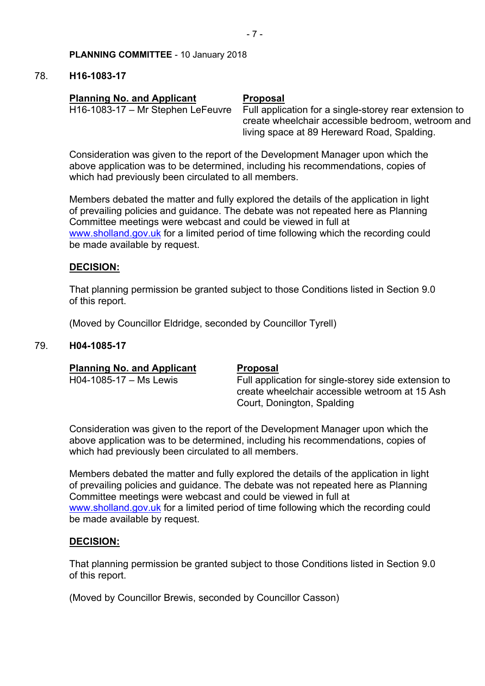# 78. **H16-1083-17**

# **Planning No. and Applicant Proposal**

H16-1083-17 – Mr Stephen LeFeuvre Full application for a single-storey rear extension to create wheelchair accessible bedroom, wetroom and living space at 89 Hereward Road, Spalding.

Consideration was given to the report of the Development Manager upon which the above application was to be determined, including his recommendations, copies of which had previously been circulated to all members.

Members debated the matter and fully explored the details of the application in light of prevailing policies and guidance. The debate was not repeated here as Planning Committee meetings were webcast and could be viewed in full at [www.sholland.gov.uk](http://www.sholland.gov.uk/) for a limited period of time following which the recording could be made available by request.

# **DECISION:**

That planning permission be granted subject to those Conditions listed in Section 9.0 of this report.

(Moved by Councillor Eldridge, seconded by Councillor Tyrell)

# 79. **H04-1085-17**

|  | <b>Planning No. and Applicant</b> |  |
|--|-----------------------------------|--|
|--|-----------------------------------|--|

### **Proposal**

H04-1085-17 – Ms Lewis Full application for single-storey side extension to create wheelchair accessible wetroom at 15 Ash Court, Donington, Spalding

Consideration was given to the report of the Development Manager upon which the above application was to be determined, including his recommendations, copies of which had previously been circulated to all members.

Members debated the matter and fully explored the details of the application in light of prevailing policies and guidance. The debate was not repeated here as Planning Committee meetings were webcast and could be viewed in full at [www.sholland.gov.uk](http://www.sholland.gov.uk/) for a limited period of time following which the recording could be made available by request.

### **DECISION:**

That planning permission be granted subject to those Conditions listed in Section 9.0 of this report.

(Moved by Councillor Brewis, seconded by Councillor Casson)